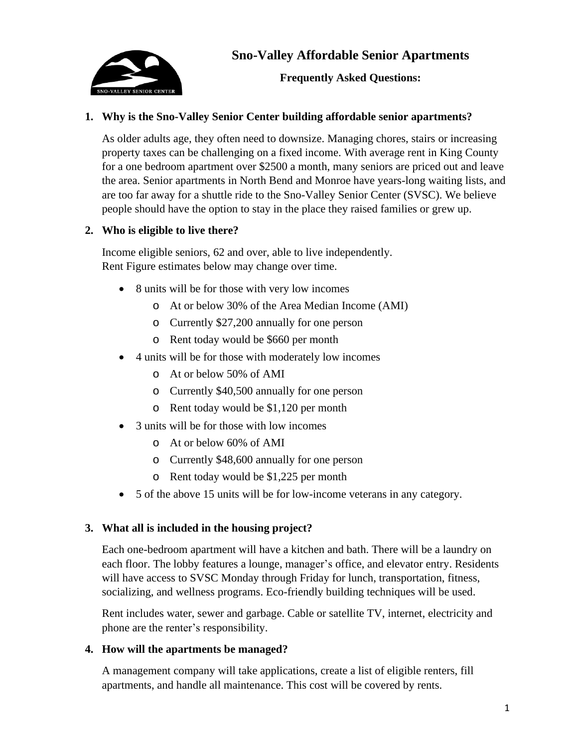

**Frequently Asked Questions:**

# **1. Why is the Sno-Valley Senior Center building affordable senior apartments?**

As older adults age, they often need to downsize. Managing chores, stairs or increasing property taxes can be challenging on a fixed income. With average rent in King County for a one bedroom apartment over \$2500 a month, many seniors are priced out and leave the area. Senior apartments in North Bend and Monroe have years-long waiting lists, and are too far away for a shuttle ride to the Sno-Valley Senior Center (SVSC). We believe people should have the option to stay in the place they raised families or grew up.

# **2. Who is eligible to live there?**

Income eligible seniors, 62 and over, able to live independently. Rent Figure estimates below may change over time.

- 8 units will be for those with very low incomes
	- o At or below 30% of the Area Median Income (AMI)
	- o Currently \$27,200 annually for one person
	- o Rent today would be \$660 per month
- 4 units will be for those with moderately low incomes
	- o At or below 50% of AMI
	- o Currently \$40,500 annually for one person
	- o Rent today would be \$1,120 per month
- 3 units will be for those with low incomes
	- o At or below 60% of AMI
	- o Currently \$48,600 annually for one person
	- o Rent today would be \$1,225 per month
- 5 of the above 15 units will be for low-income veterans in any category.

# **3. What all is included in the housing project?**

Each one-bedroom apartment will have a kitchen and bath. There will be a laundry on each floor. The lobby features a lounge, manager's office, and elevator entry. Residents will have access to SVSC Monday through Friday for lunch, transportation, fitness, socializing, and wellness programs. Eco-friendly building techniques will be used.

Rent includes water, sewer and garbage. Cable or satellite TV, internet, electricity and phone are the renter's responsibility.

# **4. How will the apartments be managed?**

A management company will take applications, create a list of eligible renters, fill apartments, and handle all maintenance. This cost will be covered by rents.